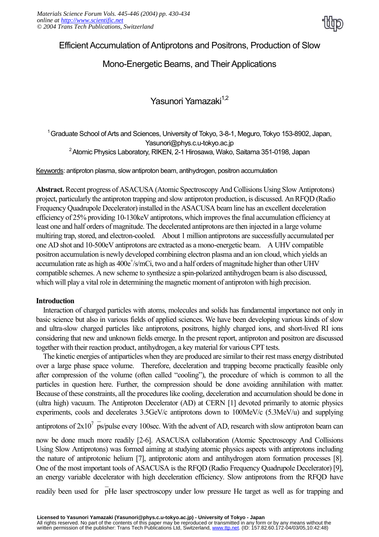

# Efficient Accumulation of Antiprotons and Positrons, Production of Slow

# Mono-Energetic Beams, and Their Applications

Yasunori Yamazaki<sup>1,2</sup>

<sup>1</sup> Graduate School of Arts and Sciences, University of Tokyo, 3-8-1, Meguro, Tokyo 153-8902, Japan, Yasunori@phys.c.u-tokyo.ac.jp <sup>2</sup> Atomic Physics Laboratory, RIKEN, 2-1 Hirosawa, Wako, Saitama 351-0198, Japan

Keywords: antiproton plasma, slow antiproton beam, antihydrogen, positron accumulation

**Abstract.** Recent progress of ASACUSA (Atomic Spectroscopy And Collisions Using Slow Antiprotons) project, particularly the antiproton trapping and slow antiproton production, is discussed. An RFQD (Radio Frequency Quadrupole Decelerator) installed in the ASACUSA beam line has an excellent deceleration efficiency of 25% providing 10-130keV antiprotons, which improves the final accumulation efficiency at least one and half orders of magnitude. The decelerated antiprotons are then injected in a large volume multiring trap, stored, and electron-cooled. About 1 million antiprotons are successfully accumulated per one AD shot and 10-500eV antiprotons are extracted as a mono-energetic beam. A UHV compatible positron accumulation is newly developed combining electron plasma and an ion cloud, which yields an accumulation rate as high as  $400e^{\frac{1}{5}}/mCi$ , two and a half orders of magnitude higher than other UHV compatible schemes. A new scheme to synthesize a spin-polarized antihydrogen beam is also discussed, which will play a vital role in determining the magnetic moment of antiproton with high precision.

#### **Introduction**

Interaction of charged particles with atoms, molecules and solids has fundamental importance not only in basic science but also in various fields of applied sciences. We have been developing various kinds of slow and ultra-slow charged particles like antiprotons, positrons, highly charged ions, and short-lived RI ions considering that new and unknown fields emerge. In the present report, antiproton and positron are discussed together with their reaction product, antihydrogen, a key material for various CPT tests.

The kinetic energies of antiparticles when they are produced are similar to their rest mass energy distributed over a large phase space volume. Therefore, deceleration and trapping become practically feasible only after compression of the volume (often called "cooling"), the procedure of which is common to all the particles in question here. Further, the compression should be done avoiding annihilation with matter. Because of these constraints, all the procedures like cooling, deceleration and accumulation should be done in (ultra high) vacuum. The Antiproton Decelerator (AD) at CERN [1] devoted primarily to atomic physics experiments, cools and decelerates 3.5GeV/c antiprotons down to 100MeV/c (5.3MeV/u) and supplying

antiprotons of  $2x10^7$  ps/pulse every 100sec. With the advent of AD, research with slow antiproton beam can

now be done much more readily [2-6]. ASACUSA collaboration (Atomic Spectroscopy And Collisions Using Slow Antiprotons) was formed aiming at studying atomic physics aspects with antiprotons including the nature of antiprotonic helium [7], antiprotonic atom and antihydrogen atom formation processes [8]. One of the most important tools of ASACUSA is the RFQD (Radio Frequency Quadrupole Decelerator) [9], an energy variable decelerator with high deceleration efficiency. Slow antiprotons from the RFQD have

readily been used for pHe laser spectroscopy under low pressure He target as well as for trapping and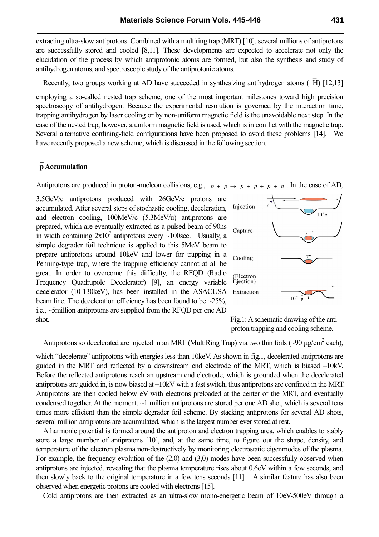extracting ultra-slow antiprotons. Combined with a multiring trap (MRT) [10], several millions of antiprotons are successfully stored and cooled [8,11]. These developments are expected to accelerate not only the elucidation of the process by which antiprotonic atoms are formed, but also the synthesis and study of antihydrogen atoms, and spectroscopic study of the antiprotonic atoms.

Recently, two groups working at AD have succeeded in synthesizing antihydrogen atoms (H) [12,13]

employing a so-called nested trap scheme, one of the most important milestones toward high precision spectroscopy of antihydrogen. Because the experimental resolution is governed by the interaction time, trapping antihydrogen by laser cooling or by non-uniform magnetic field is the unavoidable next step. In the case of the nested trap, however, a uniform magnetic field is used, which is in conflict with the magnetic trap. Several alternative confining-field configurations have been proposed to avoid these problems [14]. We have recently proposed a new scheme, which is discussed in the following section.

#### **p Accumulation**

Antiprotons are produced in proton-nucleon collisions, e.g.,  $p + p \rightarrow \bar{p} + p + p + p$ . In the case of AD,

3.5GeV/c antiprotons produced with 26GeV/c protons are accumulated. After several steps of stochastic cooling, deceleration, and electron cooling, 100MeV/c (5.3MeV/u) antiprotons are prepared, which are eventually extracted as a pulsed beam of 90ns in width containing  $2x10^7$  antiprotons every ~100sec. Usually, a simple degrader foil technique is applied to this 5MeV beam to prepare antiprotons around 10keV and lower for trapping in a Penning-type trap, where the trapping efficiency cannot at all be great. In order to overcome this difficulty, the RFQD (Radio Frequency Quadrupole Decelerator) [9], an energy variable decelerator (10-130keV), has been installed in the ASACUSA beam line. The deceleration efficiency has been found to be  $\sim$ 25%, i.e., ~5million antiprotons are supplied from the RFQD per one AD shot. Fig.1: A schematic drawing of the anti-





Antiprotons so decelerated are injected in an MRT (MultiRing Trap) via two thin foils  $(\sim]90 \mu g/cm^2$  each),

which "decelerate" antiprotons with energies less than 10keV. As shown in fig.1, decelerated antiprotons are guided in the MRT and reflected by a downstream end electrode of the MRT, which is biased  $-10kV$ . Before the reflected antiprotons reach an upstream end electrode, which is grounded when the decelerated antiprotons are guided in, is now biased at  $-10kV$  with a fast switch, thus antiprotons are confined in the MRT. Antiprotons are then cooled below eV with electrons preloaded at the center of the MRT, and eventually condensed together. At the moment, ~1 million antiprotons are stored per one AD shot, which is several tens times more efficient than the simple degrader foil scheme. By stacking antiprotons for several AD shots, several million antiprotons are accumulated, which is the largest number ever stored at rest.

A harmonic potential is formed around the antiproton and electron trapping area, which enables to stably store a large number of antiprotons [10], and, at the same time, to figure out the shape, density, and temperature of the electron plasma non-destructively by monitoring electrostatic eigenmodes of the plasma. For example, the frequency evolution of the (2,0) and (3,0) modes have been successfully observed when antiprotons are injected, revealing that the plasma temperature rises about 0.6eV within a few seconds, and then slowly back to the original temperature in a few tens seconds [11]. A similar feature has also been observed when energetic protons are cooled with electrons [15].

Cold antiprotons are then extracted as an ultra-slow mono-energetic beam of 10eV-500eV through a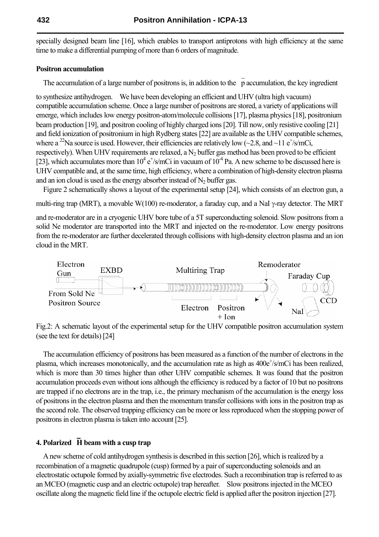specially designed beam line [16], which enables to transport antiprotons with high efficiency at the same time to make a differential pumping of more than 6 orders of magnitude.

### **Positron accumulation**

The accumulation of a large number of positrons is, in addition to the p accumulation, the key ingredient

to synthesize antihydrogen. We have been developing an efficient and UHV (ultra high vacuum) compatible accumulation scheme. Once a large number of positrons are stored, a variety of applications will emerge, which includes low energy positron-atom/molecule collisions [17], plasma physics [18], positronium beam production [19], and positron cooling of highly charged ions [20]. Till now, only resistive cooling [21] and field ionization of positronium in high Rydberg states [22] are available as the UHV compatible schemes, where a <sup>22</sup>Na source is used. However, their efficiencies are relatively low ( $\sim$ 2.8, and  $\sim$ 11 e<sup>+</sup>/s/mCi, respectively). When UHV requirements are relaxed, a  $N_2$  buffer gas method has been proved to be efficient [23], which accumulates more than  $10^4 e^{+/s/mC}$  in vacuum of  $10^{-4}$  Pa. A new scheme to be discussed here is UHV compatible and, at the same time, high efficiency, where a combination of high-density electron plasma and an ion cloud is used as the energy absorber instead of  $N_2$  buffer gas.

Figure 2 schematically shows a layout of the experimental setup [24], which consists of an electron gun, a

multi-ring trap (MRT), a movable W(100) re-moderator, a faraday cup, and a NaI  $\gamma$ -ray detector. The MRT

and re-moderator are in a cryogenic UHV bore tube of a 5T superconducting solenoid. Slow positrons from a solid Ne moderator are transported into the MRT and injected on the re-moderator. Low energy positrons from the re-moderator are further decelerated through collisions with high-density electron plasma and an ion cloud in the MRT.



Fig.2: A schematic layout of the experimental setup for the UHV compatible positron accumulation system (see the text for details) [24]

 The accumulation efficiency of positrons has been measured as a function of the number of electrons in the plasma, which increases monotonically, and the accumulation rate as high as  $400e^{\frac{1}{5}}/mCi$  has been realized, which is more than 30 times higher than other UHV compatible schemes. It was found that the positron accumulation proceeds even without ions although the efficiency is reduced by a factor of 10 but no positrons are trapped if no electrons are in the trap, i.e., the primary mechanism of the accumulation is the energy loss of positrons in the electron plasma and then the momentum transfer collisions with ions in the positron trap as the second role. The observed trapping efficiency can be more or less reproduced when the stopping power of positrons in electron plasma is taken into account [25].

# **4. Polarized H beam with a cusp trap**

A new scheme of cold antihydrogen synthesis is described in this section [26], which is realized by a recombination of a magnetic quadrupole (cusp) formed by a pair of superconducting solenoids and an electrostatic octupole formed by axially-symmetric five electrodes. Such a recombination trap is referred to as an MCEO (magnetic cusp and an electric octupole) trap hereafter. Slow positrons injected in the MCEO oscillate along the magnetic field line if the octupole electric field is applied after the positron injection [27].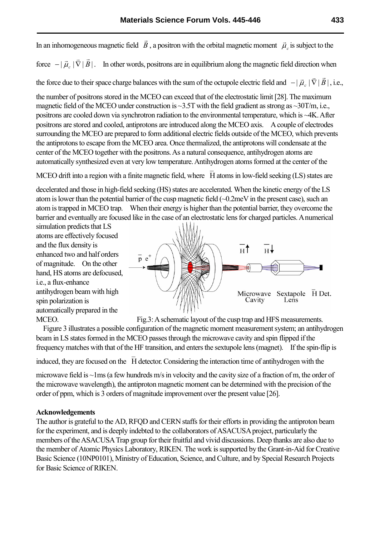In an inhomogeneous magnetic field *B* r , a positron with the orbital magnetic moment  $\vec{\mu}_c$ r is subject to the  $\overline{z}$  r  $\overline{z}$ 

force  $-|\vec{\mu}_c| \nabla |B|$  $-|\vec{\mu}_c|\vec{\nabla}|\vec{B}|$ . In other words, positrons are in equilibrium along the magnetic field direction when

the force due to their space charge balances with the sum of the octupole electric field and  $-| \vec{\mu}_c | \nabla |B|$  $\rightarrow$   $\rightarrow$   $\rightarrow$   $\rightarrow$   $\rightarrow$  $-|\vec{\mu}_c|\vec{\nabla}|\vec{B}|$ , i.e.,

the number of positrons stored in the MCEO can exceed that of the electrostatic limit [28]. The maximum magnetic field of the MCEO under construction is  $\sim$ 3.5T with the field gradient as strong as  $\sim$ 30T/m, i.e., positrons are cooled down via synchrotron radiation to the environmental temperature, which is ~4K. After positrons are stored and cooled, antiprotons are introduced along the MCEO axis. A couple of electrodes surrounding the MCEO are prepared to form additional electric fields outside of the MCEO, which prevents the antiprotons to escape from the MCEO area. Once thermalized, the antiprotons will condensate at the center of the MCEO together with the positrons. As a natural consequence, antihydrogen atoms are automatically synthesized even at very low temperature. Antihydrogen atoms formed at the center of the

MCEO drift into a region with a finite magnetic field, where H atoms in low-field seeking (LS) states are

decelerated and those in high-field seeking (HS) states are accelerated. When the kinetic energy of the LS atom is lower than the potential barrier of the cusp magnetic field (~0.2meV in the present case), such an atom is trapped in MCEO trap. When their energy is higher than the potential barrier, they overcome the barrier and eventually are focused like in the case of an electrostatic lens for charged particles. A numerical

simulation predicts that LS atoms are effectively focused and the flux density is enhanced two and half orders of magnitude. On the other hand, HS atoms are defocused, i.e., a flux-enhance antihydrogen beam with high spin polarization is automatically prepared in the



MCEO. Fig.3: A schematic layout of the cusp trap and HFS measurements.

Figure 3 illustrates a possible configuration of the magnetic moment measurement system; an antihydrogen beam in LS states formed in the MCEO passes through the microwave cavity and spin flipped if the frequency matches with that of the HF transition, and enters the sextupole lens (magnet). If the spin-flip is

induced, they are focused on the H detector. Considering the interaction time of antihydrogen with the

microwave field is ~1ms (a few hundreds m/s in velocity and the cavity size of a fraction of m, the order of the microwave wavelength), the antiproton magnetic moment can be determined with the precision of the order of ppm, which is 3 orders of magnitude improvement over the present value [26].

#### **Acknowledgements**

The author is grateful to the AD, RFQD and CERN staffs for their efforts in providing the antiproton beam for the experiment, and is deeply indebted to the collaborators of ASACUSA project, particularly the members of the ASACUSA Trap group for their fruitful and vivid discussions. Deep thanks are also due to the member of Atomic Physics Laboratory, RIKEN. The work is supported by the Grant-in-Aid for Creative Basic Science (10NP0101), Ministry of Education, Science, and Culture, and by Special Research Projects for Basic Science of RIKEN.